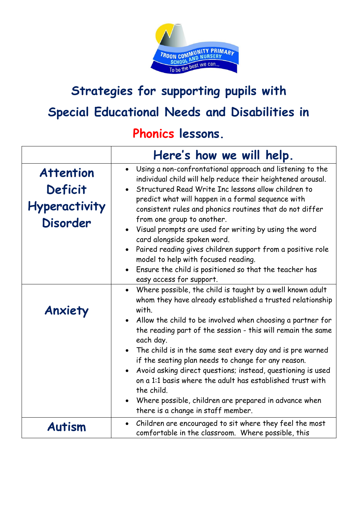

## **Strategies for supporting pupils with Special Educational Needs and Disabilities in**

## **Phonics lessons.**

|                                                                        | Here's how we will help.                                                                                                                                                                                                                                                                                                                                                                                                                                                                                                                                                                                                                     |
|------------------------------------------------------------------------|----------------------------------------------------------------------------------------------------------------------------------------------------------------------------------------------------------------------------------------------------------------------------------------------------------------------------------------------------------------------------------------------------------------------------------------------------------------------------------------------------------------------------------------------------------------------------------------------------------------------------------------------|
| <b>Attention</b><br>Deficit<br><b>Hyperactivity</b><br><b>Disorder</b> | • Using a non-confrontational approach and listening to the<br>individual child will help reduce their heightened arousal.<br>• Structured Read Write Inc lessons allow children to<br>predict what will happen in a formal sequence with<br>consistent rules and phonics routines that do not differ<br>from one group to another.<br>• Visual prompts are used for writing by using the word<br>card alongside spoken word.<br>• Paired reading gives children support from a positive role<br>model to help with focused reading.<br>• Ensure the child is positioned so that the teacher has<br>easy access for support.                 |
| Anxiety                                                                | Where possible, the child is taught by a well known adult<br>whom they have already established a trusted relationship<br>with.<br>• Allow the child to be involved when choosing a partner for<br>the reading part of the session - this will remain the same<br>each day.<br>• The child is in the same seat every day and is pre warned<br>if the seating plan needs to change for any reason.<br>Avoid asking direct questions; instead, questioning is used<br>on a 1:1 basis where the adult has established trust with<br>the child.<br>• Where possible, children are prepared in advance when<br>there is a change in staff member. |
| <b>Autism</b>                                                          | Children are encouraged to sit where they feel the most<br>$\bullet$<br>comfortable in the classroom. Where possible, this                                                                                                                                                                                                                                                                                                                                                                                                                                                                                                                   |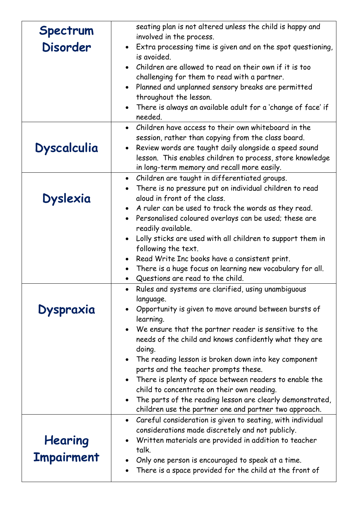| Spectrum<br><b>Disorder</b>  | seating plan is not altered unless the child is happy and<br>involved in the process.<br>• Extra processing time is given and on the spot questioning,<br>is avoided.<br>Children are allowed to read on their own if it is too<br>challenging for them to read with a partner.<br>Planned and unplanned sensory breaks are permitted<br>throughout the lesson.                                                                                                                                                                                                                                   |
|------------------------------|---------------------------------------------------------------------------------------------------------------------------------------------------------------------------------------------------------------------------------------------------------------------------------------------------------------------------------------------------------------------------------------------------------------------------------------------------------------------------------------------------------------------------------------------------------------------------------------------------|
|                              | There is always an available adult for a 'change of face' if<br>needed.                                                                                                                                                                                                                                                                                                                                                                                                                                                                                                                           |
| <b>Dyscalculia</b>           | Children have access to their own whiteboard in the<br>$\bullet$<br>session, rather than copying from the class board.<br>Review words are taught daily alongside a speed sound<br>lesson. This enables children to process, store knowledge<br>in long-term memory and recall more easily.                                                                                                                                                                                                                                                                                                       |
| <b>Dyslexia</b>              | Children are taught in differentiated groups.<br>$\bullet$<br>There is no pressure put on individual children to read<br>aloud in front of the class.<br>A ruler can be used to track the words as they read.<br>Personalised coloured overlays can be used; these are<br>readily available.<br>Lolly sticks are used with all children to support them in<br>following the text.                                                                                                                                                                                                                 |
|                              | Read Write Inc books have a consistent print.<br>There is a huge focus on learning new vocabulary for all.<br>Questions are read to the child.                                                                                                                                                                                                                                                                                                                                                                                                                                                    |
| <b>Dyspraxia</b>             | Rules and systems are clarified, using unambiguous<br>language.<br>Opportunity is given to move around between bursts of<br>learning.<br>We ensure that the partner reader is sensitive to the<br>needs of the child and knows confidently what they are<br>doing.<br>The reading lesson is broken down into key component<br>parts and the teacher prompts these.<br>There is plenty of space between readers to enable the<br>child to concentrate on their own reading.<br>The parts of the reading lesson are clearly demonstrated,<br>children use the partner one and partner two approach. |
| Hearing<br><b>Impairment</b> | Careful consideration is given to seating, with individual<br>considerations made discretely and not publicly.<br>Written materials are provided in addition to teacher<br>talk.<br>Only one person is encouraged to speak at a time.<br>There is a space provided for the child at the front of                                                                                                                                                                                                                                                                                                  |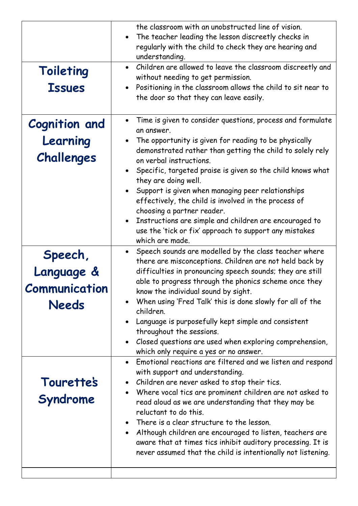| Toileting<br><b>Issues</b>                      | the classroom with an unobstructed line of vision.<br>The teacher leading the lesson discreetly checks in<br>regularly with the child to check they are hearing and<br>understanding.<br>Children are allowed to leave the classroom discreetly and<br>without needing to get permission.<br>Positioning in the classroom allows the child to sit near to<br>$\bullet$<br>the door so that they can leave easily.                                                                                                                                                                                               |
|-------------------------------------------------|-----------------------------------------------------------------------------------------------------------------------------------------------------------------------------------------------------------------------------------------------------------------------------------------------------------------------------------------------------------------------------------------------------------------------------------------------------------------------------------------------------------------------------------------------------------------------------------------------------------------|
| <b>Cognition and</b><br>Learning<br>Challenges  | Time is given to consider questions, process and formulate<br>an answer.<br>The opportunity is given for reading to be physically<br>demonstrated rather than getting the child to solely rely<br>on verbal instructions.<br>Specific, targeted praise is given so the child knows what<br>they are doing well.<br>Support is given when managing peer relationships<br>effectively, the child is involved in the process of<br>choosing a partner reader.<br>Instructions are simple and children are encouraged to<br>use the 'tick or fix' approach to support any mistakes<br>which are made.               |
| Speech,<br>Language &<br>Communication<br>Needs | • Speech sounds are modelled by the class teacher where<br>there are misconceptions. Children are not held back by<br>difficulties in pronouncing speech sounds; they are still<br>able to progress through the phonics scheme once they<br>know the individual sound by sight.<br>When using 'Fred Talk' this is done slowly for all of the<br>children.<br>Language is purposefully kept simple and consistent<br>throughout the sessions.<br>Closed questions are used when exploring comprehension,<br>which only require a yes or no answer.<br>Emotional reactions are filtered and we listen and respond |
| <b>Tourette's</b><br>Syndrome                   | with support and understanding.<br>Children are never asked to stop their tics.<br>Where vocal tics are prominent children are not asked to<br>read aloud as we are understanding that they may be<br>reluctant to do this.<br>There is a clear structure to the lesson.<br>Although children are encouraged to listen, teachers are<br>aware that at times tics inhibit auditory processing. It is<br>never assumed that the child is intentionally not listening.                                                                                                                                             |